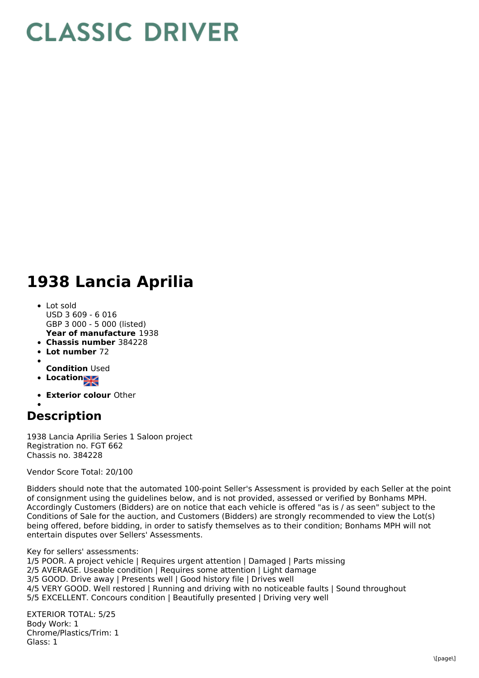## **CLASSIC DRIVER**

## **1938 Lancia Aprilia**

- **Year of manufacture** 1938 Lot sold USD 3 609 - 6 016 GBP 3 000 - 5 000 (listed)
- **Chassis number** 384228
- **Lot number** 72
- 
- **Condition** Used
- Location<sub>al</sub>
- **Exterior colour** Other

## **Description**

1938 Lancia Aprilia Series 1 Saloon project Registration no. FGT 662 Chassis no. 384228

Vendor Score Total: 20/100

Bidders should note that the automated 100-point Seller's Assessment is provided by each Seller at the point of consignment using the guidelines below, and is not provided, assessed or verified by Bonhams MPH. Accordingly Customers (Bidders) are on notice that each vehicle is offered "as is / as seen" subject to the Conditions of Sale for the auction, and Customers (Bidders) are strongly recommended to view the Lot(s) being offered, before bidding, in order to satisfy themselves as to their condition; Bonhams MPH will not entertain disputes over Sellers' Assessments.

Key for sellers' assessments: 1/5 POOR. A project vehicle | Requires urgent attention | Damaged | Parts missing 2/5 AVERAGE. Useable condition | Requires some attention | Light damage 3/5 GOOD. Drive away | Presents well | Good history file | Drives well 4/5 VERY GOOD. Well restored | Running and driving with no noticeable faults | Sound throughout 5/5 EXCELLENT. Concours condition | Beautifully presented | Driving very well

EXTERIOR TOTAL: 5/25 Body Work: 1 Chrome/Plastics/Trim: 1 Glass: 1